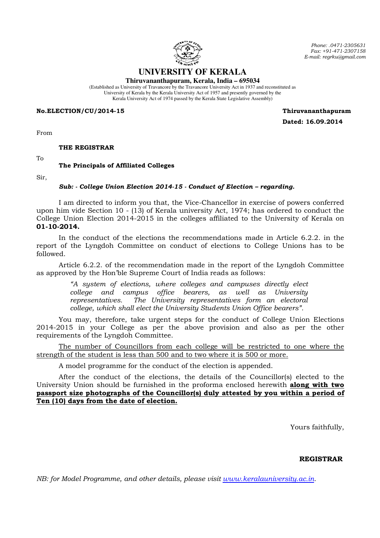

**UNIVERSITY OF KERALA** 

**Thiruvananthapuram, Kerala, India – 695034**  (Established as University of Travancore by the Travancore University Act in 1937 and reconstituted as University of Kerala by the Kerala University Act of 1957 and presently governed by the

Kerala University Act of 1974 passed by the Kerala State Legislative Assembly)

No.ELECTION/CU/2014-15 Thiruvananthapuram

Dated: 16.09.2014

Phone: .0471-2305631 Fax: +91-471-2307158 E-mail: regrku@gmail.com

From

THE REGISTRAR

To

## The Principals of Affiliated Colleges

Sir,

## Sub: - College Union Election 2014-15 - Conduct of Election – regarding.

 I am directed to inform you that, the Vice-Chancellor in exercise of powers conferred upon him vide Section 10 - (13) of Kerala university Act, 1974; has ordered to conduct the College Union Election 2014-2015 in the colleges affiliated to the University of Kerala on 01-10-2014.

In the conduct of the elections the recommendations made in Article 6.2.2. in the report of the Lyngdoh Committee on conduct of elections to College Unions has to be followed.

Article 6.2.2. of the recommendation made in the report of the Lyngdoh Committee as approved by the Hon'ble Supreme Court of India reads as follows:

> "A system of elections, where colleges and campuses directly elect college and campus office bearers, as well as University representatives. The University representatives form an electoral college, which shall elect the University Students Union Office bearers".

 You may, therefore, take urgent steps for the conduct of College Union Elections 2014-2015 in your College as per the above provision and also as per the other requirements of the Lyngdoh Committee.

The number of Councillors from each college will be restricted to one where the strength of the student is less than 500 and to two where it is 500 or more.

A model programme for the conduct of the election is appended.

 After the conduct of the elections, the details of the Councillor(s) elected to the University Union should be furnished in the proforma enclosed herewith along with two passport size photographs of the Councillor(s) duly attested by you within a period of Ten (10) days from the date of election.

Yours faithfully,

## REGISTRAR

NB: for Model Programme, and other details, please visit www.keralauniversity.ac.in.